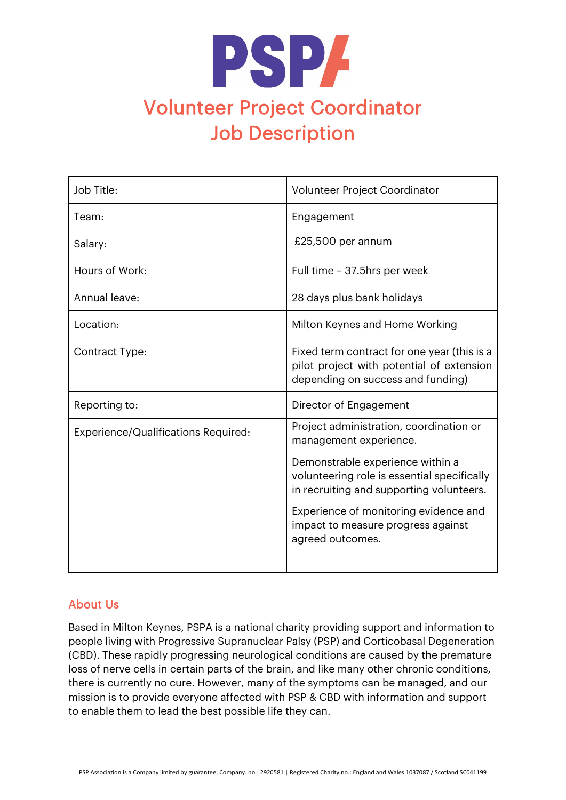

| Job Title:                          | Volunteer Project Coordinator                                                                                                 |
|-------------------------------------|-------------------------------------------------------------------------------------------------------------------------------|
| Team:                               | Engagement                                                                                                                    |
| Salary:                             | £25,500 per annum                                                                                                             |
| Hours of Work:                      | Full time - 37.5hrs per week                                                                                                  |
| Annual leave:                       | 28 days plus bank holidays                                                                                                    |
| Location:                           | Milton Keynes and Home Working                                                                                                |
| Contract Type:                      | Fixed term contract for one year (this is a<br>pilot project with potential of extension<br>depending on success and funding) |
| Reporting to:                       | Director of Engagement                                                                                                        |
| Experience/Qualifications Required: | Project administration, coordination or<br>management experience.                                                             |
|                                     | Demonstrable experience within a<br>volunteering role is essential specifically<br>in recruiting and supporting volunteers.   |
|                                     | Experience of monitoring evidence and<br>impact to measure progress against<br>agreed outcomes.                               |

## About Us

Based in Milton Keynes, PSPA is a national charity providing support and information to people living with Progressive Supranuclear Palsy (PSP) and Corticobasal Degeneration (CBD). These rapidly progressing neurological conditions are caused by the premature loss of nerve cells in certain parts of the brain, and like many other chronic conditions, there is currently no cure. However, many of the symptoms can be managed, and our mission is to provide everyone affected with PSP & CBD with information and support to enable them to lead the best possible life they can.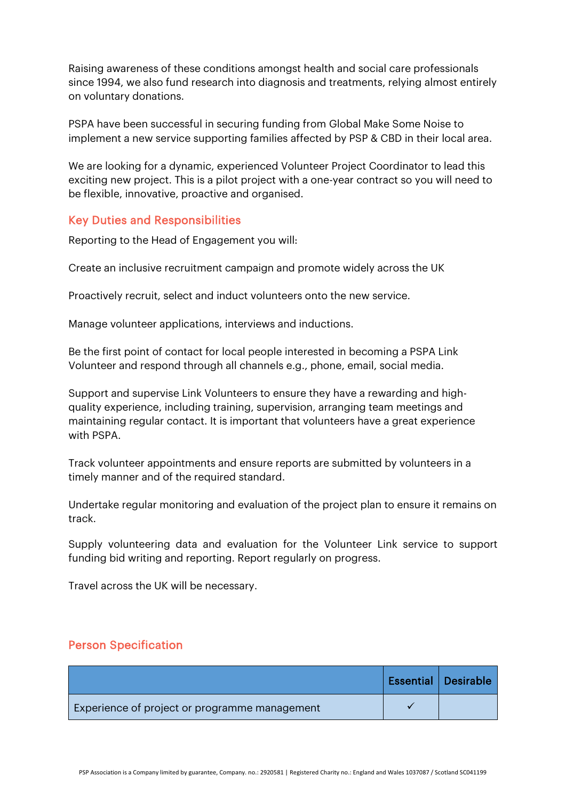Raising awareness of these conditions amongst health and social care professionals since 1994, we also fund research into diagnosis and treatments, relying almost entirely on voluntary donations.

PSPA have been successful in securing funding from Global Make Some Noise to implement a new service supporting families affected by PSP & CBD in their local area.

We are looking for a dynamic, experienced Volunteer Project Coordinator to lead this exciting new project. This is a pilot project with a one-year contract so you will need to be flexible, innovative, proactive and organised.

## Key Duties and Responsibilities

Reporting to the Head of Engagement you will:

Create an inclusive recruitment campaign and promote widely across the UK

Proactively recruit, select and induct volunteers onto the new service.

Manage volunteer applications, interviews and inductions.

Be the first point of contact for local people interested in becoming a PSPA Link Volunteer and respond through all channels e.g., phone, email, social media.

Support and supervise Link Volunteers to ensure they have a rewarding and highquality experience, including training, supervision, arranging team meetings and maintaining regular contact. It is important that volunteers have a great experience with PSPA.

Track volunteer appointments and ensure reports are submitted by volunteers in a timely manner and of the required standard.

Undertake regular monitoring and evaluation of the project plan to ensure it remains on track.

Supply volunteering data and evaluation for the Volunteer Link service to support funding bid writing and reporting. Report regularly on progress.

Travel across the UK will be necessary.

## Person Specification

|                                               | <b>Essential   Desirable</b> |
|-----------------------------------------------|------------------------------|
| Experience of project or programme management |                              |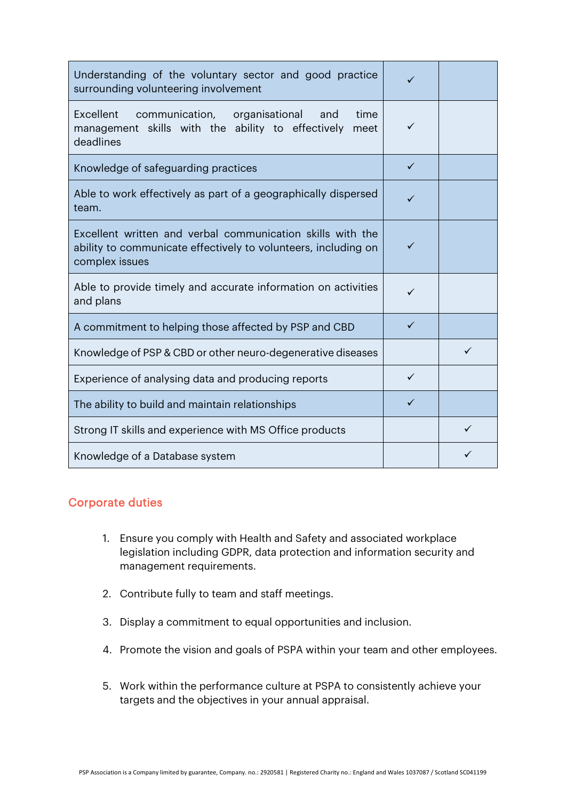| Understanding of the voluntary sector and good practice<br>surrounding volunteering involvement                                                |              |   |
|------------------------------------------------------------------------------------------------------------------------------------------------|--------------|---|
| Excellent<br>communication, organisational<br>and<br>time<br>management skills with the ability to effectively<br>meet<br>deadlines            | ✓            |   |
| Knowledge of safeguarding practices                                                                                                            | ✓            |   |
| Able to work effectively as part of a geographically dispersed<br>team.                                                                        |              |   |
| Excellent written and verbal communication skills with the<br>ability to communicate effectively to volunteers, including on<br>complex issues |              |   |
| Able to provide timely and accurate information on activities<br>and plans                                                                     | ✓            |   |
| A commitment to helping those affected by PSP and CBD                                                                                          | $\checkmark$ |   |
| Knowledge of PSP & CBD or other neuro-degenerative diseases                                                                                    |              | ✓ |
| Experience of analysing data and producing reports                                                                                             |              |   |
| The ability to build and maintain relationships                                                                                                | ✓            |   |
| Strong IT skills and experience with MS Office products                                                                                        |              | ✓ |
| Knowledge of a Database system                                                                                                                 |              |   |

## Corporate duties

- 1. Ensure you comply with Health and Safety and associated workplace legislation including GDPR, data protection and information security and management requirements.
- 2. Contribute fully to team and staff meetings.
- 3. Display a commitment to equal opportunities and inclusion.
- 4. Promote the vision and goals of PSPA within your team and other employees.
- 5. Work within the performance culture at PSPA to consistently achieve your targets and the objectives in your annual appraisal.